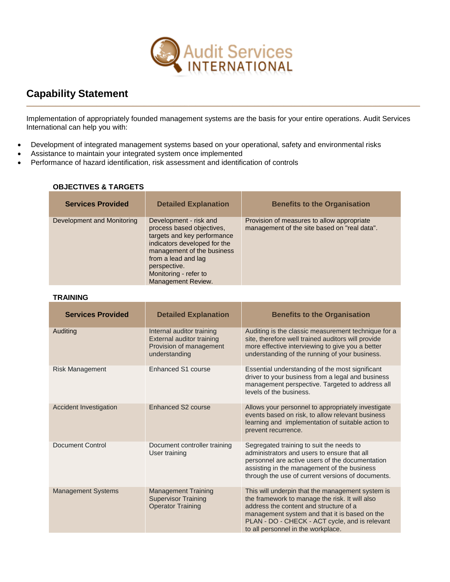

# **Capability Statement**

Implementation of appropriately founded management systems are the basis for your entire operations. Audit Services International can help you with:

**\_\_\_\_\_\_\_\_\_\_\_\_\_\_\_\_\_\_\_\_\_\_\_\_\_\_\_\_\_\_\_\_\_\_\_\_\_\_\_\_\_\_\_\_\_\_\_\_\_\_\_\_\_\_\_\_\_\_\_\_\_\_\_\_\_\_\_\_\_\_\_\_\_\_\_\_\_\_\_\_\_\_\_\_\_\_\_\_\_\_\_\_\_\_\_\_\_\_\_\_\_\_\_\_\_\_\_**

- Development of integrated management systems based on your operational, safety and environmental risks
- Assistance to maintain your integrated system once implemented
- Performance of hazard identification, risk assessment and identification of controls

| <b>Services Provided</b>   | <b>Detailed Explanation</b>                                                                                                                                                                                                                   | <b>Benefits to the Organisation</b>                                                        |
|----------------------------|-----------------------------------------------------------------------------------------------------------------------------------------------------------------------------------------------------------------------------------------------|--------------------------------------------------------------------------------------------|
| Development and Monitoring | Development - risk and<br>process based objectives,<br>targets and key performance<br>indicators developed for the<br>management of the business<br>from a lead and lag<br>perspective.<br>Monitoring - refer to<br><b>Management Review.</b> | Provision of measures to allow appropriate<br>management of the site based on "real data". |

#### **OBJECTIVES & TARGETS**

#### **TRAINING**

| <b>Services Provided</b>      | <b>Detailed Explanation</b>                                                                        | <b>Benefits to the Organisation</b>                                                                                                                                                                                                                                                   |
|-------------------------------|----------------------------------------------------------------------------------------------------|---------------------------------------------------------------------------------------------------------------------------------------------------------------------------------------------------------------------------------------------------------------------------------------|
| Auditing                      | Internal auditor training<br>External auditor training<br>Provision of management<br>understanding | Auditing is the classic measurement technique for a<br>site, therefore well trained auditors will provide<br>more effective interviewing to give you a better<br>understanding of the running of your business.                                                                       |
| <b>Risk Management</b>        | Enhanced S1 course                                                                                 | Essential understanding of the most significant<br>driver to your business from a legal and business<br>management perspective. Targeted to address all<br>levels of the business.                                                                                                    |
| <b>Accident Investigation</b> | Enhanced S <sub>2</sub> course                                                                     | Allows your personnel to appropriately investigate<br>events based on risk, to allow relevant business<br>learning and implementation of suitable action to<br>prevent recurrence.                                                                                                    |
| <b>Document Control</b>       | Document controller training<br>User training                                                      | Segregated training to suit the needs to<br>administrators and users to ensure that all<br>personnel are active users of the documentation<br>assisting in the management of the business<br>through the use of current versions of documents.                                        |
| <b>Management Systems</b>     | <b>Management Training</b><br><b>Supervisor Training</b><br><b>Operator Training</b>               | This will underpin that the management system is<br>the framework to manage the risk. It will also<br>address the content and structure of a<br>management system and that it is based on the<br>PLAN - DO - CHECK - ACT cycle, and is relevant<br>to all personnel in the workplace. |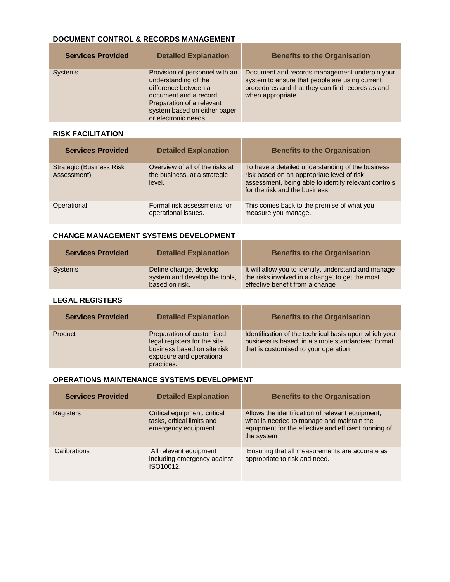#### **DOCUMENT CONTROL & RECORDS MANAGEMENT**

| <b>Services Provided</b> | <b>Detailed Explanation</b>                                                                                                                                                                   | <b>Benefits to the Organisation</b>                                                                                                                                      |
|--------------------------|-----------------------------------------------------------------------------------------------------------------------------------------------------------------------------------------------|--------------------------------------------------------------------------------------------------------------------------------------------------------------------------|
| <b>Systems</b>           | Provision of personnel with an<br>understanding of the<br>difference between a<br>document and a record.<br>Preparation of a relevant<br>system based on either paper<br>or electronic needs. | Document and records management underpin your<br>system to ensure that people are using current<br>procedures and that they can find records as and<br>when appropriate. |

#### **RISK FACILITATION**

| <b>Services Provided</b>                        | <b>Detailed Explanation</b>                                               | <b>Benefits to the Organisation</b>                                                                                                                                                      |
|-------------------------------------------------|---------------------------------------------------------------------------|------------------------------------------------------------------------------------------------------------------------------------------------------------------------------------------|
| <b>Strategic (Business Risk)</b><br>Assessment) | Overview of all of the risks at<br>the business, at a strategic<br>level. | To have a detailed understanding of the business<br>risk based on an appropriate level of risk<br>assessment, being able to identify relevant controls<br>for the risk and the business. |
| Operational                                     | Formal risk assessments for<br>operational issues.                        | This comes back to the premise of what you<br>measure you manage.                                                                                                                        |

#### **CHANGE MANAGEMENT SYSTEMS DEVELOPMENT**

| <b>Services Provided</b> | <b>Detailed Explanation</b>                                               | <b>Benefits to the Organisation</b>                                                                                                        |
|--------------------------|---------------------------------------------------------------------------|--------------------------------------------------------------------------------------------------------------------------------------------|
| <b>Systems</b>           | Define change, develop<br>system and develop the tools.<br>based on risk. | It will allow you to identify, understand and manage<br>the risks involved in a change, to get the most<br>effective benefit from a change |

#### **LEGAL REGISTERS**

| <b>Services Provided</b> | <b>Detailed Explanation</b>                                                                                                        | <b>Benefits to the Organisation</b>                                                                                                                 |
|--------------------------|------------------------------------------------------------------------------------------------------------------------------------|-----------------------------------------------------------------------------------------------------------------------------------------------------|
| Product                  | Preparation of customised<br>legal registers for the site<br>business based on site risk<br>exposure and operational<br>practices. | Identification of the technical basis upon which your<br>business is based, in a simple standardised format<br>that is customised to your operation |

### **OPERATIONS MAINTENANCE SYSTEMS DEVELOPMENT**

| <b>Services Provided</b> | <b>Detailed Explanation</b>                                                        | <b>Benefits to the Organisation</b>                                                                                                                                 |
|--------------------------|------------------------------------------------------------------------------------|---------------------------------------------------------------------------------------------------------------------------------------------------------------------|
| <b>Registers</b>         | Critical equipment, critical<br>tasks, critical limits and<br>emergency equipment. | Allows the identification of relevant equipment,<br>what is needed to manage and maintain the<br>equipment for the effective and efficient running of<br>the system |
| Calibrations             | All relevant equipment<br>including emergency against<br>ISO10012.                 | Ensuring that all measurements are accurate as<br>appropriate to risk and need.                                                                                     |